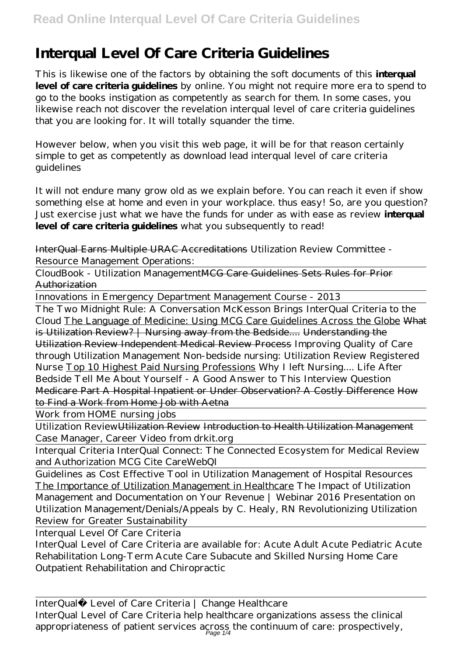## **Interqual Level Of Care Criteria Guidelines**

This is likewise one of the factors by obtaining the soft documents of this **interqual level of care criteria guidelines** by online. You might not require more era to spend to go to the books instigation as competently as search for them. In some cases, you likewise reach not discover the revelation interqual level of care criteria guidelines that you are looking for. It will totally squander the time.

However below, when you visit this web page, it will be for that reason certainly simple to get as competently as download lead interqual level of care criteria guidelines

It will not endure many grow old as we explain before. You can reach it even if show something else at home and even in your workplace. thus easy! So, are you question? Just exercise just what we have the funds for under as with ease as review **interqual level of care criteria guidelines** what you subsequently to read!

InterQual Earns Multiple URAC Accreditations Utilization Review Committee - Resource Management Operations:

CloudBook - Utilization ManagementMCG Care Guidelines Sets Rules for Prior Authorization

Innovations in Emergency Department Management Course - 2013

The Two Midnight Rule: A Conversation McKesson Brings InterQual Criteria to the Cloud The Language of Medicine: Using MCG Care Guidelines Across the Globe What is Utilization Review? | Nursing away from the Bedside.... Understanding the Utilization Review Independent Medical Review Process *Improving Quality of Care through Utilization Management Non-bedside nursing: Utilization Review Registered Nurse* Top 10 Highest Paid Nursing Professions Why I left Nursing.... Life After Bedside *Tell Me About Yourself - A Good Answer to This Interview Question* Medicare Part A Hospital Inpatient or Under Observation? A Costly Difference How to Find a Work from Home Job with Aetna

Work from HOME nursing jobs

Utilization ReviewUtilization Review Introduction to Health Utilization Management *Case Manager, Career Video from drkit.org*

Interqual Criteria InterQual Connect: The Connected Ecosystem for Medical Review and Authorization *MCG Cite CareWebQI*

Guidelines as Cost Effective Tool in Utilization Management of Hospital Resources The Importance of Utilization Management in Healthcare The Impact of Utilization Management and Documentation on Your Revenue | Webinar 2016 Presentation on Utilization Management/Denials/Appeals by C. Healy, RN *Revolutionizing Utilization Review for Greater Sustainability*

Interqual Level Of Care Criteria

InterQual Level of Care Criteria are available for: Acute Adult Acute Pediatric Acute Rehabilitation Long-Term Acute Care Subacute and Skilled Nursing Home Care Outpatient Rehabilitation and Chiropractic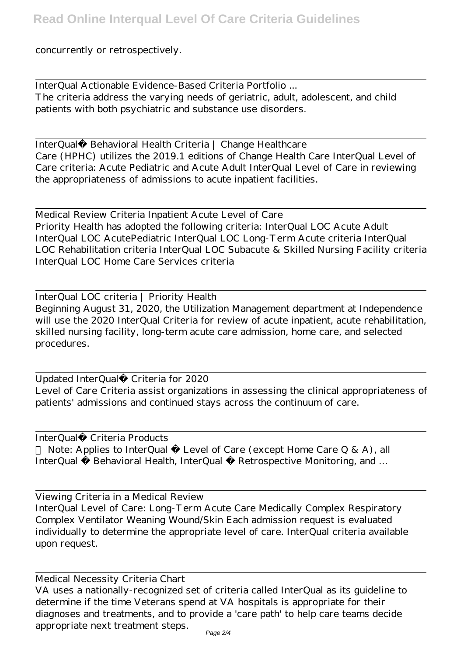concurrently or retrospectively.

InterQual Actionable Evidence-Based Criteria Portfolio ... The criteria address the varying needs of geriatric, adult, adolescent, and child patients with both psychiatric and substance use disorders.

InterQual® Behavioral Health Criteria | Change Healthcare Care (HPHC) utilizes the 2019.1 editions of Change Health Care InterQual Level of Care criteria: Acute Pediatric and Acute Adult InterQual Level of Care in reviewing the appropriateness of admissions to acute inpatient facilities.

Medical Review Criteria Inpatient Acute Level of Care Priority Health has adopted the following criteria: InterQual LOC Acute Adult InterQual LOC AcutePediatric InterQual LOC Long-Term Acute criteria InterQual LOC Rehabilitation criteria InterQual LOC Subacute & Skilled Nursing Facility criteria InterQual LOC Home Care Services criteria

InterQual LOC criteria | Priority Health Beginning August 31, 2020, the Utilization Management department at Independence will use the 2020 InterQual Criteria for review of acute inpatient, acute rehabilitation, skilled nursing facility, long-term acute care admission, home care, and selected procedures.

Updated InterQual® Criteria for 2020 Level of Care Criteria assist organizations in assessing the clinical appropriateness of patients' admissions and continued stays across the continuum of care.

InterQual® Criteria Products

Note: Applies to InterQual  $\mathbb{B}$  Level of Care (except Home Care Q & A), all InterQual ® Behavioral Health, InterQual ® Retrospective Monitoring, and ...

Viewing Criteria in a Medical Review

InterQual Level of Care: Long-Term Acute Care Medically Complex Respiratory Complex Ventilator Weaning Wound/Skin Each admission request is evaluated individually to determine the appropriate level of care. InterQual criteria available upon request.

Medical Necessity Criteria Chart

VA uses a nationally-recognized set of criteria called InterQual as its guideline to determine if the time Veterans spend at VA hospitals is appropriate for their diagnoses and treatments, and to provide a 'care path' to help care teams decide appropriate next treatment steps.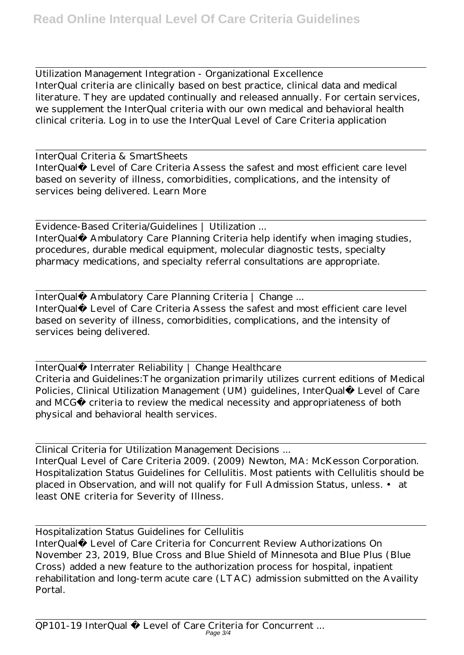Utilization Management Integration - Organizational Excellence InterQual criteria are clinically based on best practice, clinical data and medical literature. They are updated continually and released annually. For certain services, we supplement the InterQual criteria with our own medical and behavioral health clinical criteria. Log in to use the InterQual Level of Care Criteria application

InterQual Criteria & SmartSheets InterQual® Level of Care Criteria Assess the safest and most efficient care level based on severity of illness, comorbidities, complications, and the intensity of services being delivered. Learn More

Evidence-Based Criteria/Guidelines | Utilization ... InterQual® Ambulatory Care Planning Criteria help identify when imaging studies, procedures, durable medical equipment, molecular diagnostic tests, specialty pharmacy medications, and specialty referral consultations are appropriate.

InterQual® Ambulatory Care Planning Criteria | Change ... InterQual® Level of Care Criteria Assess the safest and most efficient care level based on severity of illness, comorbidities, complications, and the intensity of services being delivered.

InterQual® Interrater Reliability | Change Healthcare Criteria and Guidelines:The organization primarily utilizes current editions of Medical Policies, Clinical Utilization Management (UM) guidelines, InterQual® Level of Care and MCG® criteria to review the medical necessity and appropriateness of both physical and behavioral health services.

Clinical Criteria for Utilization Management Decisions ... InterQual Level of Care Criteria 2009. (2009) Newton, MA: McKesson Corporation. Hospitalization Status Guidelines for Cellulitis. Most patients with Cellulitis should be placed in Observation, and will not qualify for Full Admission Status, unless. • at least ONE criteria for Severity of Illness.

Hospitalization Status Guidelines for Cellulitis InterQual® Level of Care Criteria for Concurrent Review Authorizations On November 23, 2019, Blue Cross and Blue Shield of Minnesota and Blue Plus (Blue Cross) added a new feature to the authorization process for hospital, inpatient rehabilitation and long-term acute care (LTAC) admission submitted on the Availity Portal.